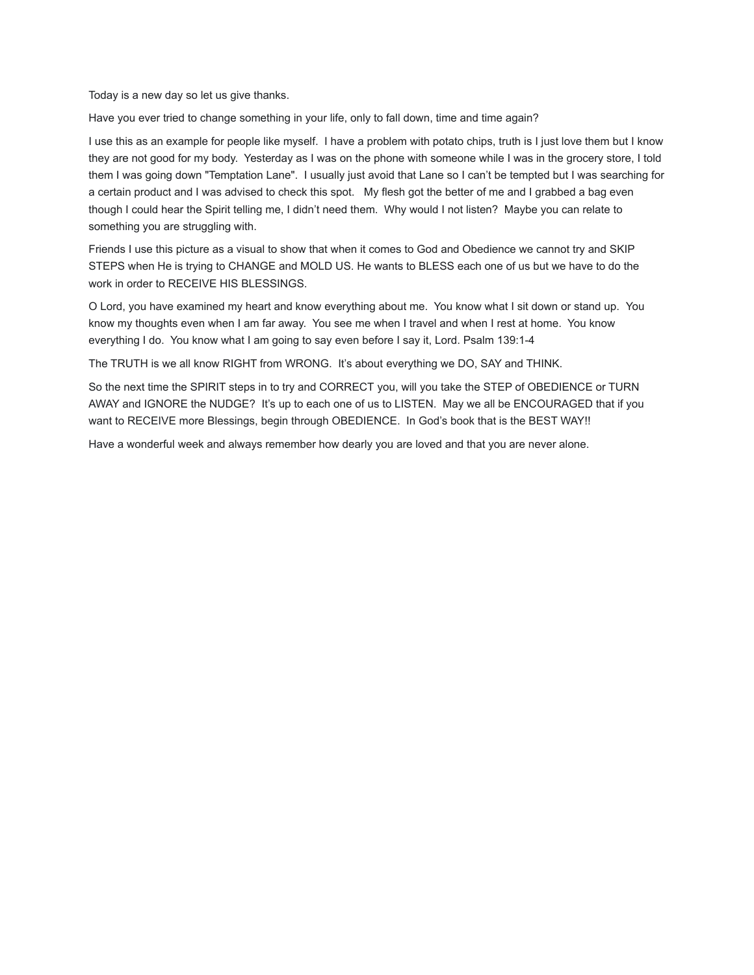Today is a new day so let us give thanks.

Have you ever tried to change something in your life, only to fall down, time and time again?

I use this as an example for people like myself. I have a problem with potato chips, truth is I just love them but I know they are not good for my body. Yesterday as I was on the phone with someone while I was in the grocery store, I told them I was going down "Temptation Lane". I usually just avoid that Lane so I can't be tempted but I was searching for a certain product and I was advised to check this spot. My flesh got the better of me and I grabbed a bag even though I could hear the Spirit telling me, I didn't need them. Why would I not listen? Maybe you can relate to something you are struggling with.

Friends I use this picture as a visual to show that when it comes to God and Obedience we cannot try and SKIP STEPS when He is trying to CHANGE and MOLD US. He wants to BLESS each one of us but we have to do the work in order to RECEIVE HIS BLESSINGS.

O Lord, you have examined my heart and know everything about me. You know what I sit down or stand up. You know my thoughts even when I am far away. You see me when I travel and when I rest at home. You know everything I do. You know what I am going to say even before I say it, Lord. Psalm 139:1-4

The TRUTH is we all know RIGHT from WRONG. It's about everything we DO, SAY and THINK.

So the next time the SPIRIT steps in to try and CORRECT you, will you take the STEP of OBEDIENCE or TURN AWAY and IGNORE the NUDGE? It's up to each one of us to LISTEN. May we all be ENCOURAGED that if you want to RECEIVE more Blessings, begin through OBEDIENCE. In God's book that is the BEST WAY!!

Have a wonderful week and always remember how dearly you are loved and that you are never alone.